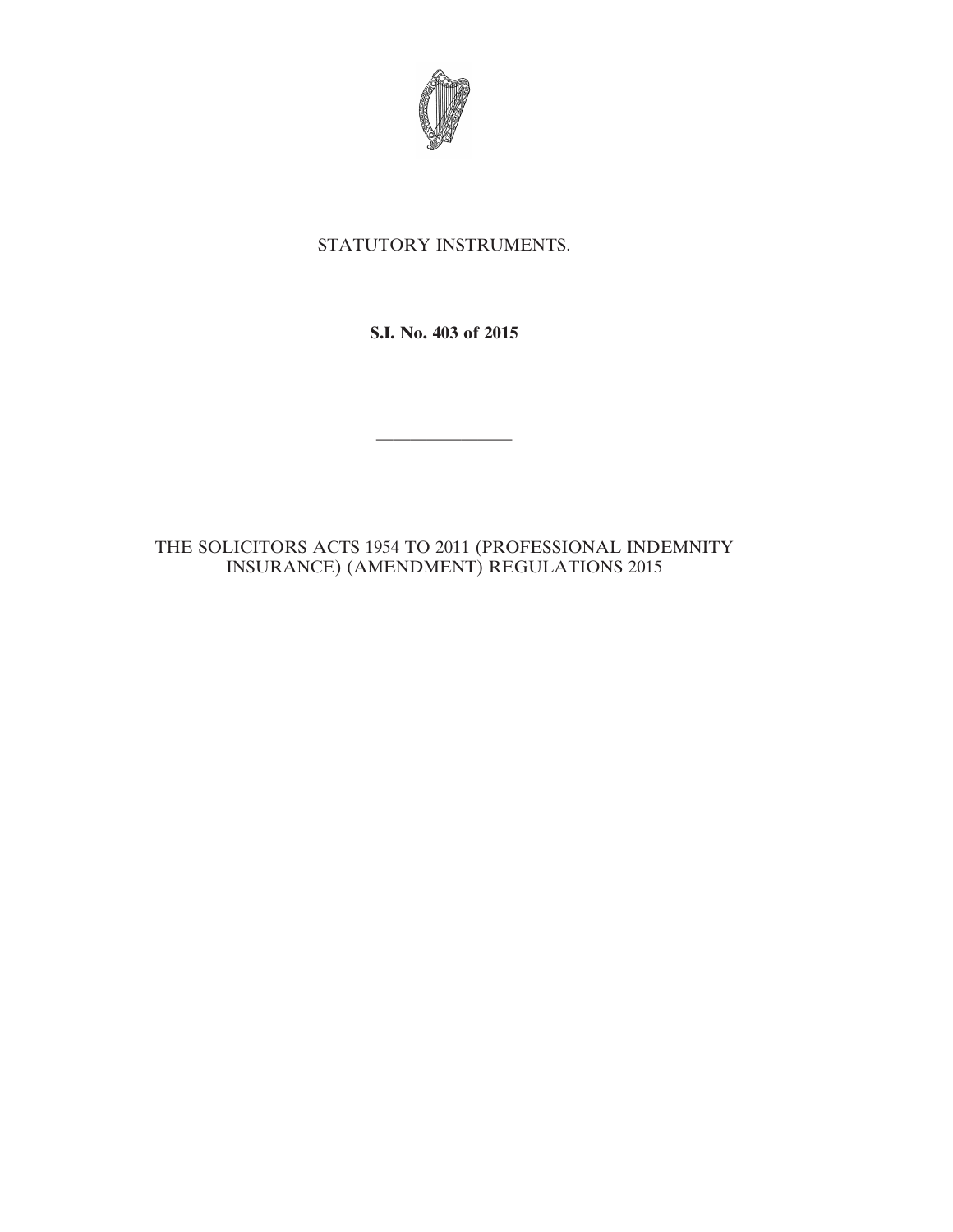

## STATUTORY INSTRUMENTS.

**S.I. No. 403 of 2015**

————————

THE SOLICITORS ACTS 1954 TO 2011 (PROFESSIONAL INDEMNITY INSURANCE) (AMENDMENT) REGULATIONS 2015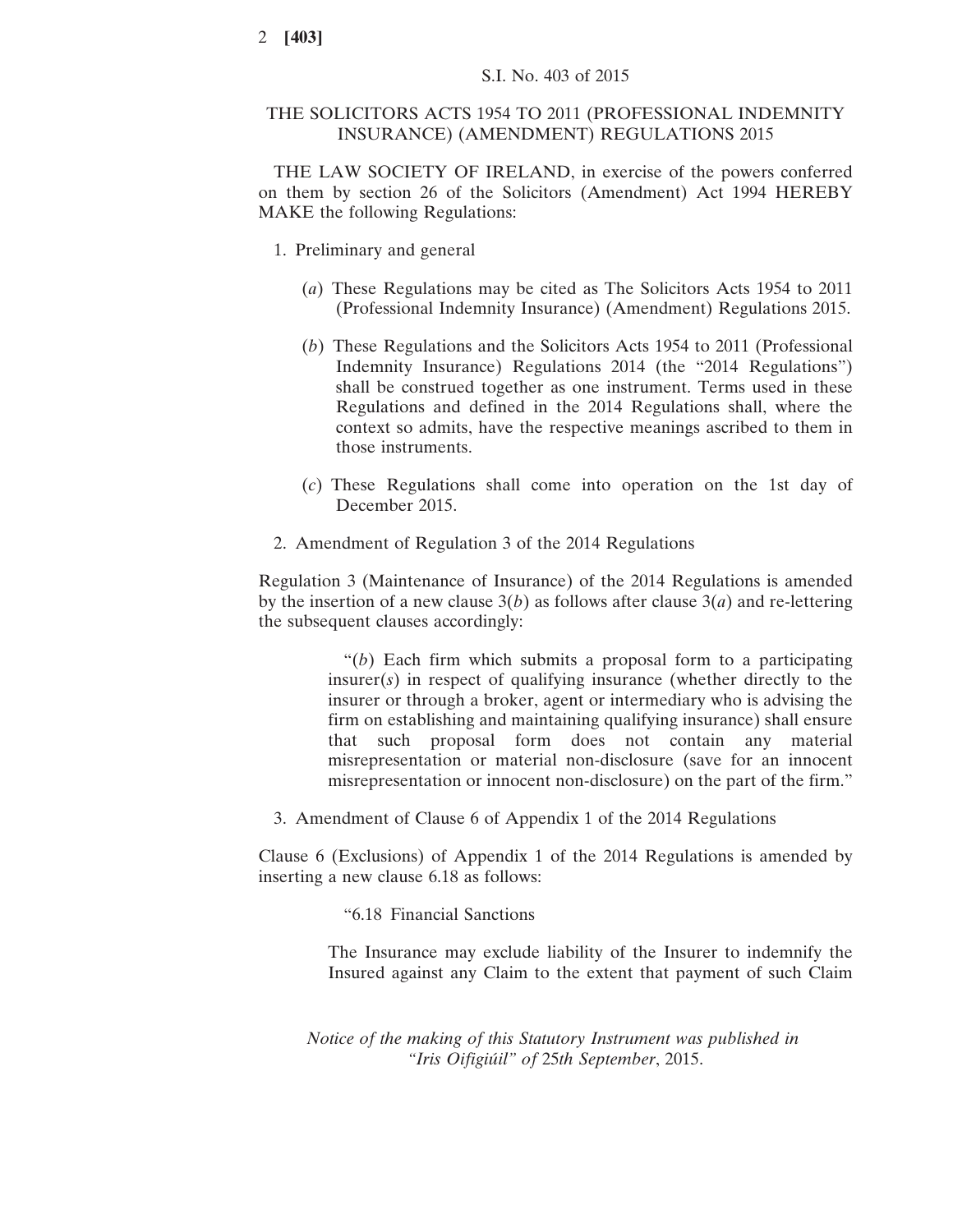## THE SOLICITORS ACTS 1954 TO 2011 (PROFESSIONAL INDEMNITY INSURANCE) (AMENDMENT) REGULATIONS 2015

THE LAW SOCIETY OF IRELAND, in exercise of the powers conferred on them by section 26 of the Solicitors (Amendment) Act 1994 HEREBY MAKE the following Regulations:

- 1. Preliminary and general
	- (*a*) These Regulations may be cited as The Solicitors Acts 1954 to 2011 (Professional Indemnity Insurance) (Amendment) Regulations 2015.
	- (*b*) These Regulations and the Solicitors Acts 1954 to 2011 (Professional Indemnity Insurance) Regulations 2014 (the "2014 Regulations") shall be construed together as one instrument. Terms used in these Regulations and defined in the 2014 Regulations shall, where the context so admits, have the respective meanings ascribed to them in those instruments.
	- (*c*) These Regulations shall come into operation on the 1st day of December 2015.
- 2. Amendment of Regulation 3 of the 2014 Regulations

Regulation 3 (Maintenance of Insurance) of the 2014 Regulations is amended by the insertion of a new clause 3(*b*) as follows after clause 3(*a*) and re-lettering the subsequent clauses accordingly:

> "(*b*) Each firm which submits a proposal form to a participating insurer(*s*) in respect of qualifying insurance (whether directly to the insurer or through a broker, agent or intermediary who is advising the firm on establishing and maintaining qualifying insurance) shall ensure that such proposal form does not contain any material misrepresentation or material non-disclosure (save for an innocent misrepresentation or innocent non-disclosure) on the part of the firm."

3. Amendment of Clause 6 of Appendix 1 of the 2014 Regulations

Clause 6 (Exclusions) of Appendix 1 of the 2014 Regulations is amended by inserting a new clause 6.18 as follows:

"6.18 Financial Sanctions

The Insurance may exclude liability of the Insurer to indemnify the Insured against any Claim to the extent that payment of such Claim

*Notice of the making of this Statutory Instrument was published in "Iris Oifigiúil" of* 25*th September*, 2015.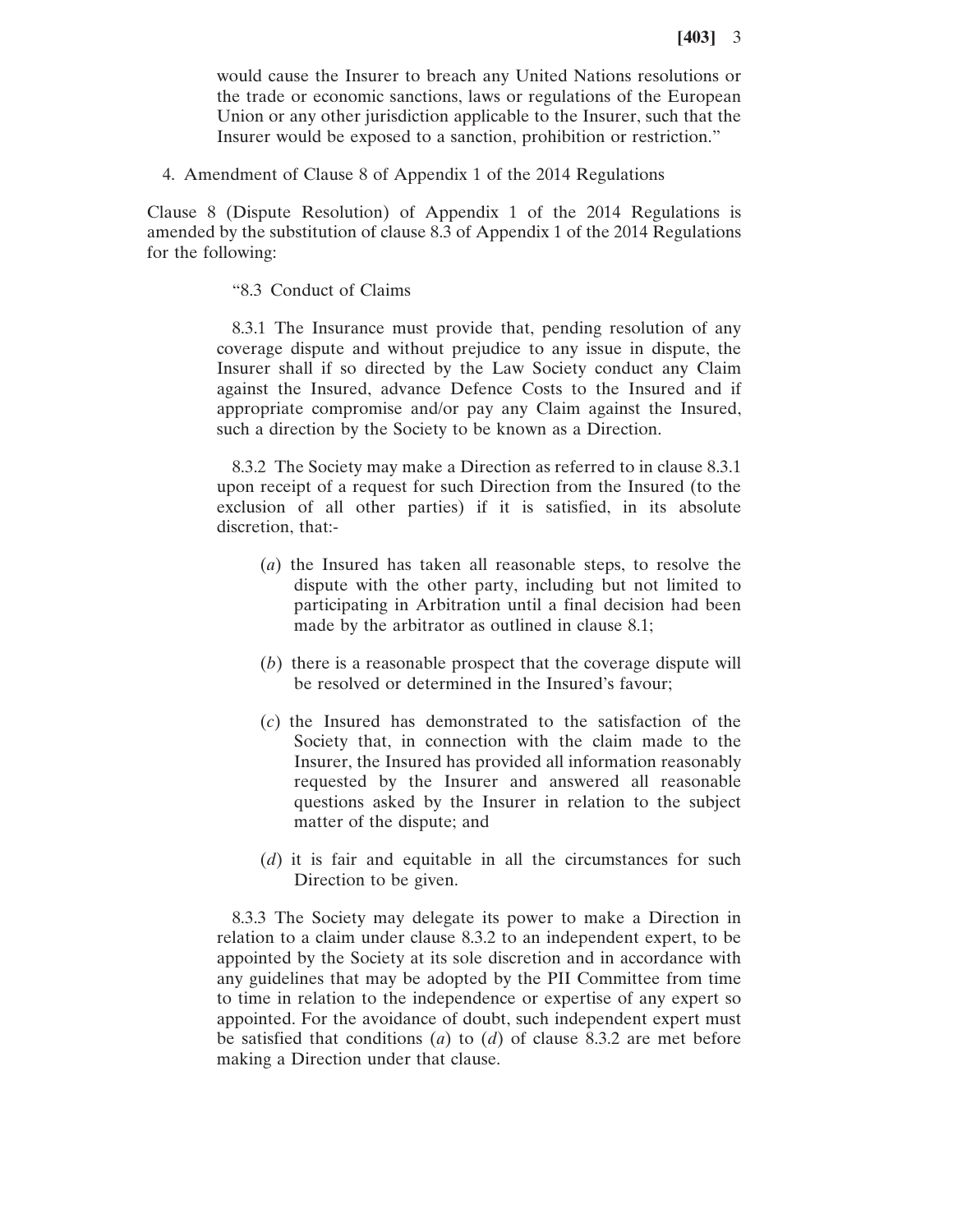would cause the Insurer to breach any United Nations resolutions or the trade or economic sanctions, laws or regulations of the European Union or any other jurisdiction applicable to the Insurer, such that the Insurer would be exposed to a sanction, prohibition or restriction."

4. Amendment of Clause 8 of Appendix 1 of the 2014 Regulations

Clause 8 (Dispute Resolution) of Appendix 1 of the 2014 Regulations is amended by the substitution of clause 8.3 of Appendix 1 of the 2014 Regulations for the following:

## "8.3 Conduct of Claims

8.3.1 The Insurance must provide that, pending resolution of any coverage dispute and without prejudice to any issue in dispute, the Insurer shall if so directed by the Law Society conduct any Claim against the Insured, advance Defence Costs to the Insured and if appropriate compromise and/or pay any Claim against the Insured, such a direction by the Society to be known as a Direction.

8.3.2 The Society may make a Direction as referred to in clause 8.3.1 upon receipt of a request for such Direction from the Insured (to the exclusion of all other parties) if it is satisfied, in its absolute discretion, that:-

- (*a*) the Insured has taken all reasonable steps, to resolve the dispute with the other party, including but not limited to participating in Arbitration until a final decision had been made by the arbitrator as outlined in clause 8.1;
- (*b*) there is a reasonable prospect that the coverage dispute will be resolved or determined in the Insured's favour;
- (*c*) the Insured has demonstrated to the satisfaction of the Society that, in connection with the claim made to the Insurer, the Insured has provided all information reasonably requested by the Insurer and answered all reasonable questions asked by the Insurer in relation to the subject matter of the dispute; and
- (*d*) it is fair and equitable in all the circumstances for such Direction to be given.

8.3.3 The Society may delegate its power to make a Direction in relation to a claim under clause 8.3.2 to an independent expert, to be appointed by the Society at its sole discretion and in accordance with any guidelines that may be adopted by the PII Committee from time to time in relation to the independence or expertise of any expert so appointed. For the avoidance of doubt, such independent expert must be satisfied that conditions (*a*) to (*d*) of clause 8.3.2 are met before making a Direction under that clause.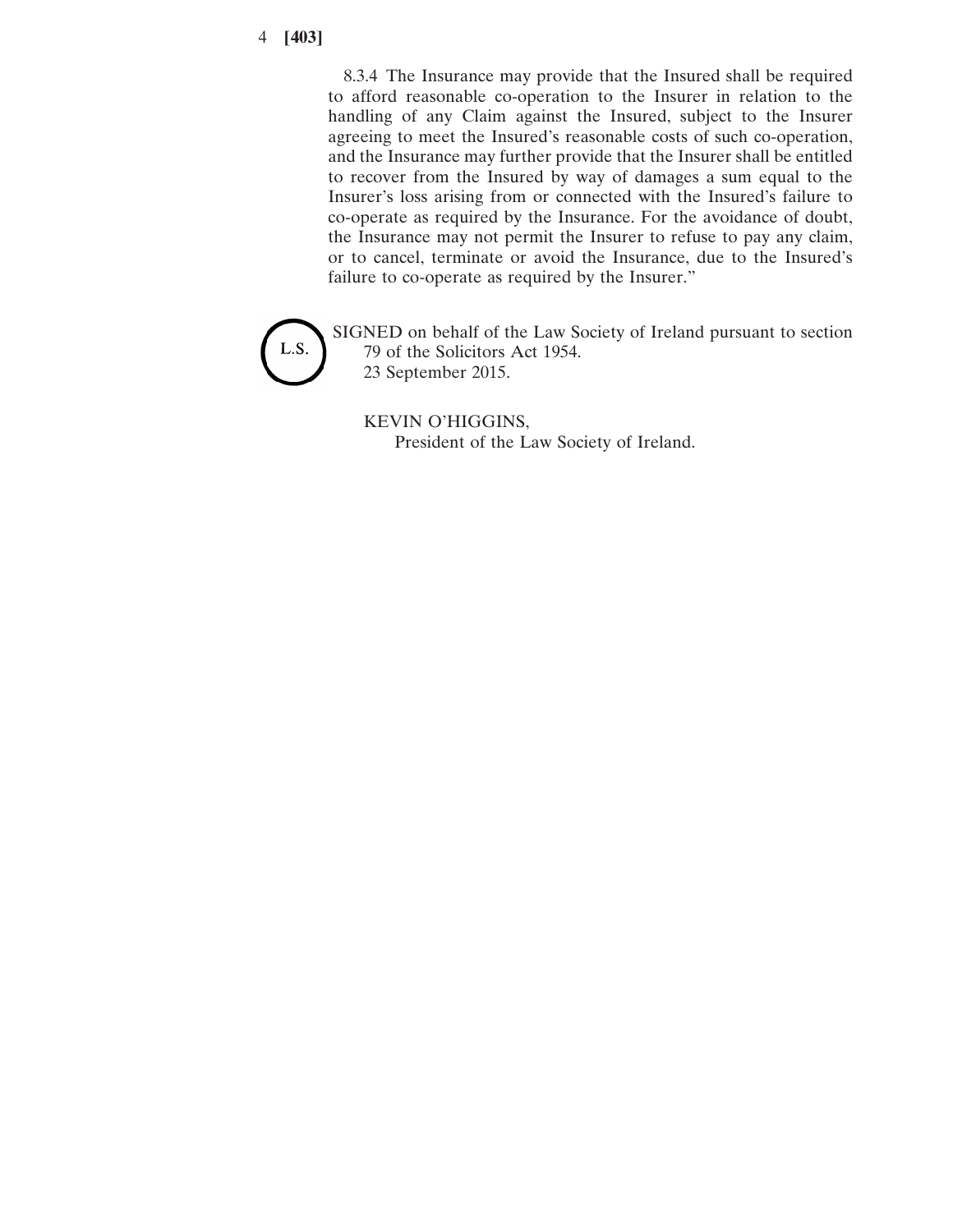## 4 **[403]**

8.3.4 The Insurance may provide that the Insured shall be required to afford reasonable co-operation to the Insurer in relation to the handling of any Claim against the Insured, subject to the Insurer agreeing to meet the Insured's reasonable costs of such co-operation, and the Insurance may further provide that the Insurer shall be entitled to recover from the Insured by way of damages a sum equal to the Insurer's loss arising from or connected with the Insured's failure to co-operate as required by the Insurance. For the avoidance of doubt, the Insurance may not permit the Insurer to refuse to pay any claim, or to cancel, terminate or avoid the Insurance, due to the Insured's failure to co-operate as required by the Insurer."



SIGNED on behalf of the Law Society of Ireland pursuant to section 79 of the Solicitors Act 1954. 23 September 2015.

KEVIN O'HIGGINS,

President of the Law Society of Ireland.